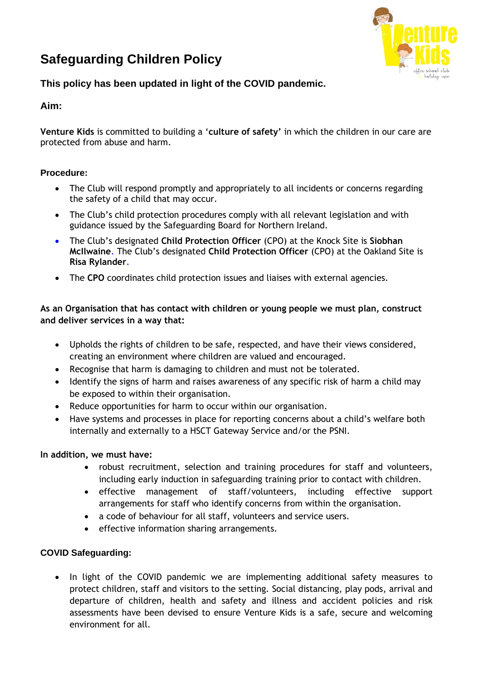# **Safeguarding Children Policy**



# **This policy has been updated in light of the COVID pandemic.**

## **Aim:**

**Venture Kids** is committed to building a '**culture of safety'** in which the children in our care are protected from abuse and harm.

## **Procedure:**

- The Club will respond promptly and appropriately to all incidents or concerns regarding the safety of a child that may occur.
- The Club's child protection procedures comply with all relevant legislation and with guidance issued by the Safeguarding Board for Northern Ireland.
- The Club's designated **Child Protection Officer** (CPO) at the Knock Site is **Siobhan McIlwaine**. The Club's designated **Child Protection Officer** (CPO) at the Oakland Site is **Risa Rylander**.
- The **CPO** coordinates child protection issues and liaises with external agencies.

## **As an Organisation that has contact with children or young people we must plan, construct and deliver services in a way that:**

- Upholds the rights of children to be safe, respected, and have their views considered, creating an environment where children are valued and encouraged.
- Recognise that harm is damaging to children and must not be tolerated.
- Identify the signs of harm and raises awareness of any specific risk of harm a child may be exposed to within their organisation.
- Reduce opportunities for harm to occur within our organisation.
- Have systems and processes in place for reporting concerns about a child's welfare both internally and externally to a HSCT Gateway Service and/or the PSNI.

#### **In addition, we must have:**

- robust recruitment, selection and training procedures for staff and volunteers, including early induction in safeguarding training prior to contact with children.
- effective management of staff/volunteers, including effective support arrangements for staff who identify concerns from within the organisation.
- a code of behaviour for all staff, volunteers and service users.
- effective information sharing arrangements.

## **COVID Safeguarding:**

• In light of the COVID pandemic we are implementing additional safety measures to protect children, staff and visitors to the setting. Social distancing, play pods, arrival and departure of children, health and safety and illness and accident policies and risk assessments have been devised to ensure Venture Kids is a safe, secure and welcoming environment for all.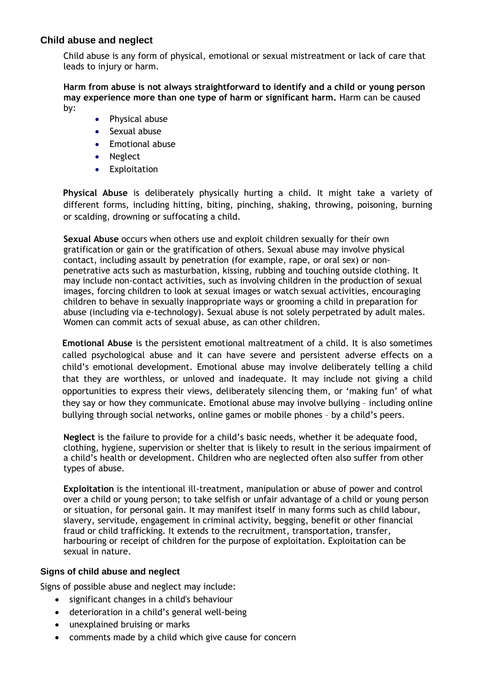## **Child abuse and neglect**

Child abuse is any form of physical, emotional or sexual mistreatment or lack of care that leads to injury or harm.

**Harm from abuse is not always straightforward to identify and a child or young person may experience more than one type of harm or significant harm.** Harm can be caused by:

- Physical abuse
- Sexual abuse
- Emotional abuse
- Neglect
- Exploitation

**Physical Abuse** is deliberately physically hurting a child. It might take a variety of different forms, including hitting, biting, pinching, shaking, throwing, poisoning, burning or scalding, drowning or suffocating a child.

**Sexual Abuse** occurs when others use and exploit children sexually for their own gratification or gain or the gratification of others. Sexual abuse may involve physical contact, including assault by penetration (for example, rape, or oral sex) or nonpenetrative acts such as masturbation, kissing, rubbing and touching outside clothing. It may include non-contact activities, such as involving children in the production of sexual images, forcing children to look at sexual images or watch sexual activities, encouraging children to behave in sexually inappropriate ways or grooming a child in preparation for abuse (including via e-technology). Sexual abuse is not solely perpetrated by adult males. Women can commit acts of sexual abuse, as can other children.

**Emotional Abuse** is the persistent emotional maltreatment of a child. It is also sometimes called psychological abuse and it can have severe and persistent adverse effects on a child's emotional development. Emotional abuse may involve deliberately telling a child that they are worthless, or unloved and inadequate. It may include not giving a child opportunities to express their views, deliberately silencing them, or 'making fun' of what they say or how they communicate. Emotional abuse may involve bullying – including online bullying through social networks, online games or mobile phones – by a child's peers.

**Neglect** is the failure to provide for a child's basic needs, whether it be adequate food, clothing, hygiene, supervision or shelter that is likely to result in the serious impairment of a child's health or development. Children who are neglected often also suffer from other types of abuse.

**Exploitation** is the intentional ill-treatment, manipulation or abuse of power and control over a child or young person; to take selfish or unfair advantage of a child or young person or situation, for personal gain. It may manifest itself in many forms such as child labour, slavery, servitude, engagement in criminal activity, begging, benefit or other financial fraud or child trafficking. It extends to the recruitment, transportation, transfer, harbouring or receipt of children for the purpose of exploitation. Exploitation can be sexual in nature.

#### **Signs of child abuse and neglect**

Signs of possible abuse and neglect may include:

- significant changes in a child's behaviour
- deterioration in a child's general well-being
- unexplained bruising or marks
- comments made by a child which give cause for concern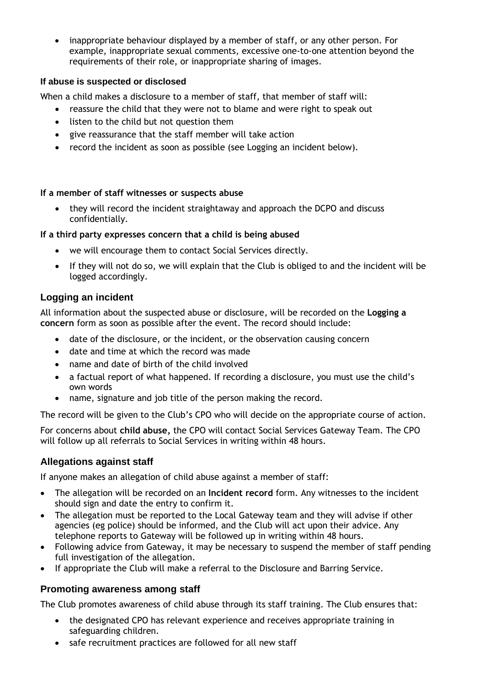• inappropriate behaviour displayed by a member of staff, or any other person. For example, inappropriate sexual comments, excessive one-to-one attention beyond the requirements of their role, or inappropriate sharing of images.

## **If abuse is suspected or disclosed**

When a child makes a disclosure to a member of staff, that member of staff will:

- reassure the child that they were not to blame and were right to speak out
- listen to the child but not question them
- give reassurance that the staff member will take action
- record the incident as soon as possible (see Logging an incident below).

## **If a member of staff witnesses or suspects abuse**

• they will record the incident straightaway and approach the DCPO and discuss confidentially.

### **If a third party expresses concern that a child is being abused**

- we will encourage them to contact Social Services directly.
- If they will not do so, we will explain that the Club is obliged to and the incident will be logged accordingly.

## **Logging an incident**

All information about the suspected abuse or disclosure, will be recorded on the **Logging a concern** form as soon as possible after the event. The record should include:

- date of the disclosure, or the incident, or the observation causing concern
- date and time at which the record was made
- name and date of birth of the child involved
- a factual report of what happened. If recording a disclosure, you must use the child's own words
- name, signature and job title of the person making the record.

The record will be given to the Club's CPO who will decide on the appropriate course of action.

For concerns about **child abuse,** the CPO will contact Social Services Gateway Team. The CPO will follow up all referrals to Social Services in writing within 48 hours.

## **Allegations against staff**

If anyone makes an allegation of child abuse against a member of staff:

- The allegation will be recorded on an **Incident record** form. Any witnesses to the incident should sign and date the entry to confirm it.
- The allegation must be reported to the Local Gateway team and they will advise if other agencies (eg police) should be informed, and the Club will act upon their advice. Any telephone reports to Gateway will be followed up in writing within 48 hours.
- Following advice from Gateway, it may be necessary to suspend the member of staff pending full investigation of the allegation.
- If appropriate the Club will make a referral to the Disclosure and Barring Service.

## **Promoting awareness among staff**

The Club promotes awareness of child abuse through its staff training. The Club ensures that:

- the designated CPO has relevant experience and receives appropriate training in safeguarding children.
- safe recruitment practices are followed for all new staff